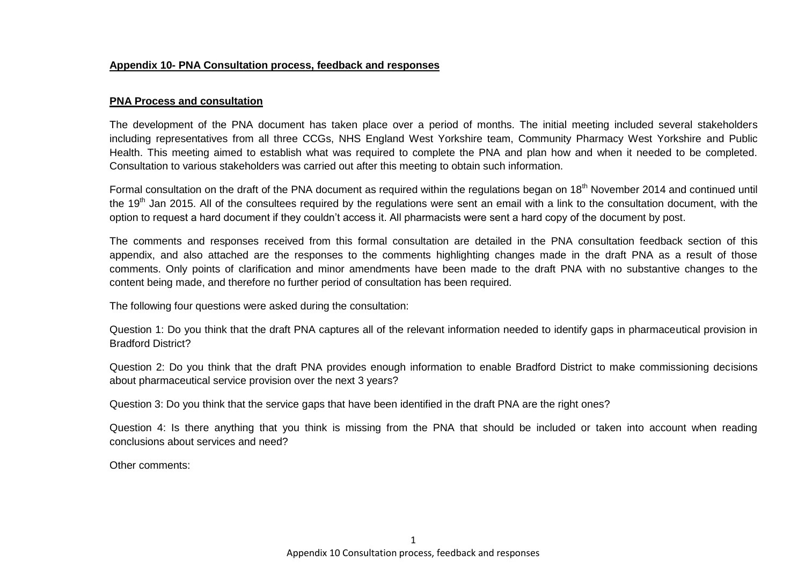#### **Appendix 10- PNA Consultation process, feedback and responses**

#### **PNA Process and consultation**

The development of the PNA document has taken place over a period of months. The initial meeting included several stakeholders including representatives from all three CCGs, NHS England West Yorkshire team, Community Pharmacy West Yorkshire and Public Health. This meeting aimed to establish what was required to complete the PNA and plan how and when it needed to be completed. Consultation to various stakeholders was carried out after this meeting to obtain such information.

Formal consultation on the draft of the PNA document as required within the regulations began on 18<sup>th</sup> November 2014 and continued until the 19<sup>th</sup> Jan 2015. All of the consultees required by the requiations were sent an email with a link to the consultation document, with the option to request a hard document if they couldn't access it. All pharmacists were sent a hard copy of the document by post.

The comments and responses received from this formal consultation are detailed in the PNA consultation feedback section of this appendix, and also attached are the responses to the comments highlighting changes made in the draft PNA as a result of those comments. Only points of clarification and minor amendments have been made to the draft PNA with no substantive changes to the content being made, and therefore no further period of consultation has been required.

The following four questions were asked during the consultation:

Question 1: Do you think that the draft PNA captures all of the relevant information needed to identify gaps in pharmaceutical provision in Bradford District?

Question 2: Do you think that the draft PNA provides enough information to enable Bradford District to make commissioning decisions about pharmaceutical service provision over the next 3 years?

Question 3: Do you think that the service gaps that have been identified in the draft PNA are the right ones?

Question 4: Is there anything that you think is missing from the PNA that should be included or taken into account when reading conclusions about services and need?

Other comments: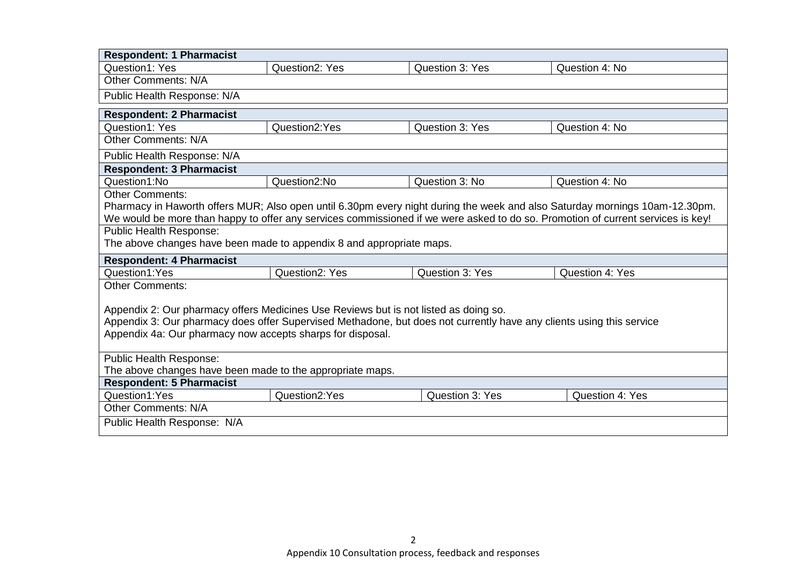| <b>Respondent: 1 Pharmacist</b>                                                                                                                                                    |                |                 |                 |  |  |  |
|------------------------------------------------------------------------------------------------------------------------------------------------------------------------------------|----------------|-----------------|-----------------|--|--|--|
| <b>Question1: Yes</b>                                                                                                                                                              | Question2: Yes | Question 3: Yes | Question 4: No  |  |  |  |
| <b>Other Comments: N/A</b>                                                                                                                                                         |                |                 |                 |  |  |  |
| Public Health Response: N/A                                                                                                                                                        |                |                 |                 |  |  |  |
| <b>Respondent: 2 Pharmacist</b>                                                                                                                                                    |                |                 |                 |  |  |  |
| Question1: Yes                                                                                                                                                                     | Question2:Yes  | Question 3: Yes | Question 4: No  |  |  |  |
| <b>Other Comments: N/A</b>                                                                                                                                                         |                |                 |                 |  |  |  |
| Public Health Response: N/A                                                                                                                                                        |                |                 |                 |  |  |  |
| <b>Respondent: 3 Pharmacist</b>                                                                                                                                                    |                |                 |                 |  |  |  |
| Question1:No                                                                                                                                                                       | Question2:No   | Question 3: No  | Question 4: No  |  |  |  |
| <b>Other Comments:</b>                                                                                                                                                             |                |                 |                 |  |  |  |
| Pharmacy in Haworth offers MUR; Also open until 6.30pm every night during the week and also Saturday mornings 10am-12.30pm.                                                        |                |                 |                 |  |  |  |
| We would be more than happy to offer any services commissioned if we were asked to do so. Promotion of current services is key!                                                    |                |                 |                 |  |  |  |
| <b>Public Health Response:</b>                                                                                                                                                     |                |                 |                 |  |  |  |
| The above changes have been made to appendix 8 and appropriate maps.                                                                                                               |                |                 |                 |  |  |  |
| <b>Respondent: 4 Pharmacist</b>                                                                                                                                                    |                |                 |                 |  |  |  |
| Question1:Yes                                                                                                                                                                      | Question2: Yes | Question 3: Yes | Question 4: Yes |  |  |  |
| <b>Other Comments:</b>                                                                                                                                                             |                |                 |                 |  |  |  |
|                                                                                                                                                                                    |                |                 |                 |  |  |  |
| Appendix 2: Our pharmacy offers Medicines Use Reviews but is not listed as doing so.                                                                                               |                |                 |                 |  |  |  |
| Appendix 3: Our pharmacy does offer Supervised Methadone, but does not currently have any clients using this service<br>Appendix 4a: Our pharmacy now accepts sharps for disposal. |                |                 |                 |  |  |  |
|                                                                                                                                                                                    |                |                 |                 |  |  |  |
| <b>Public Health Response:</b>                                                                                                                                                     |                |                 |                 |  |  |  |
| The above changes have been made to the appropriate maps.                                                                                                                          |                |                 |                 |  |  |  |
| <b>Respondent: 5 Pharmacist</b>                                                                                                                                                    |                |                 |                 |  |  |  |
| Question1:Yes                                                                                                                                                                      | Question2:Yes  | Question 3: Yes | Question 4: Yes |  |  |  |
| <b>Other Comments: N/A</b>                                                                                                                                                         |                |                 |                 |  |  |  |
| Public Health Response: N/A                                                                                                                                                        |                |                 |                 |  |  |  |
|                                                                                                                                                                                    |                |                 |                 |  |  |  |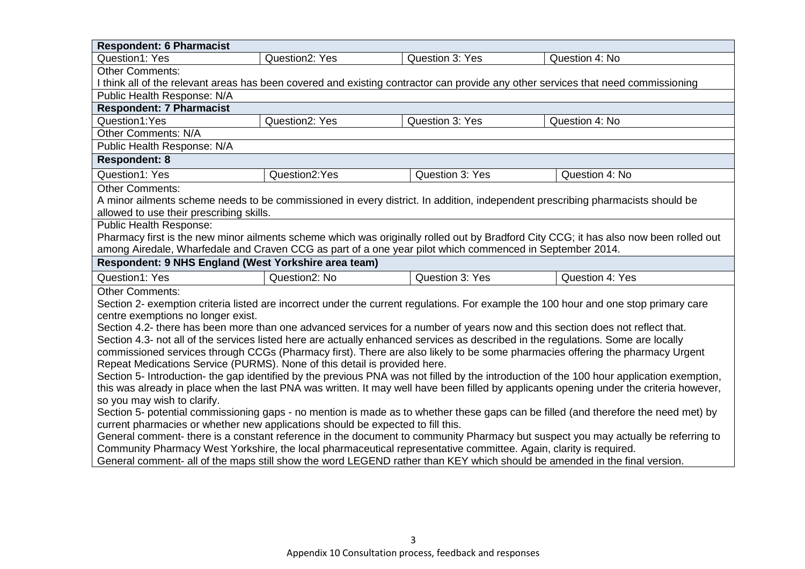| <b>Respondent: 6 Pharmacist</b>                                                                                                                                        |                                                                                                                           |                 |                                                                                                                                       |  |  |
|------------------------------------------------------------------------------------------------------------------------------------------------------------------------|---------------------------------------------------------------------------------------------------------------------------|-----------------|---------------------------------------------------------------------------------------------------------------------------------------|--|--|
| <b>Question1: Yes</b>                                                                                                                                                  | <b>Question2: Yes</b>                                                                                                     | Question 3: Yes | Question 4: No                                                                                                                        |  |  |
| <b>Other Comments:</b>                                                                                                                                                 |                                                                                                                           |                 |                                                                                                                                       |  |  |
| I think all of the relevant areas has been covered and existing contractor can provide any other services that need commissioning                                      |                                                                                                                           |                 |                                                                                                                                       |  |  |
| Public Health Response: N/A                                                                                                                                            |                                                                                                                           |                 |                                                                                                                                       |  |  |
| <b>Respondent: 7 Pharmacist</b>                                                                                                                                        |                                                                                                                           |                 |                                                                                                                                       |  |  |
| Question1:Yes                                                                                                                                                          | Question2: Yes                                                                                                            | Question 3: Yes | Question 4: No                                                                                                                        |  |  |
| <b>Other Comments: N/A</b>                                                                                                                                             |                                                                                                                           |                 |                                                                                                                                       |  |  |
| Public Health Response: N/A                                                                                                                                            |                                                                                                                           |                 |                                                                                                                                       |  |  |
| <b>Respondent: 8</b>                                                                                                                                                   |                                                                                                                           |                 |                                                                                                                                       |  |  |
| Question1: Yes                                                                                                                                                         | Question2:Yes                                                                                                             | Question 3: Yes | Question 4: No                                                                                                                        |  |  |
| <b>Other Comments:</b>                                                                                                                                                 |                                                                                                                           |                 |                                                                                                                                       |  |  |
| A minor ailments scheme needs to be commissioned in every district. In addition, independent prescribing pharmacists should be                                         |                                                                                                                           |                 |                                                                                                                                       |  |  |
| allowed to use their prescribing skills.                                                                                                                               |                                                                                                                           |                 |                                                                                                                                       |  |  |
| <b>Public Health Response:</b>                                                                                                                                         |                                                                                                                           |                 |                                                                                                                                       |  |  |
|                                                                                                                                                                        |                                                                                                                           |                 | Pharmacy first is the new minor ailments scheme which was originally rolled out by Bradford City CCG; it has also now been rolled out |  |  |
| among Airedale, Wharfedale and Craven CCG as part of a one year pilot which commenced in September 2014.                                                               |                                                                                                                           |                 |                                                                                                                                       |  |  |
| Respondent: 9 NHS England (West Yorkshire area team)                                                                                                                   |                                                                                                                           |                 |                                                                                                                                       |  |  |
| Question1: Yes                                                                                                                                                         | Question2: No                                                                                                             | Question 3: Yes | Question 4: Yes                                                                                                                       |  |  |
| <b>Other Comments:</b>                                                                                                                                                 |                                                                                                                           |                 |                                                                                                                                       |  |  |
|                                                                                                                                                                        |                                                                                                                           |                 | Section 2- exemption criteria listed are incorrect under the current regulations. For example the 100 hour and one stop primary care  |  |  |
| centre exemptions no longer exist.                                                                                                                                     |                                                                                                                           |                 |                                                                                                                                       |  |  |
| Section 4.2- there has been more than one advanced services for a number of years now and this section does not reflect that.                                          |                                                                                                                           |                 |                                                                                                                                       |  |  |
| Section 4.3- not all of the services listed here are actually enhanced services as described in the regulations. Some are locally                                      |                                                                                                                           |                 |                                                                                                                                       |  |  |
| commissioned services through CCGs (Pharmacy first). There are also likely to be some pharmacies offering the pharmacy Urgent                                          |                                                                                                                           |                 |                                                                                                                                       |  |  |
| Repeat Medications Service (PURMS). None of this detail is provided here.                                                                                              |                                                                                                                           |                 |                                                                                                                                       |  |  |
| Section 5- Introduction- the gap identified by the previous PNA was not filled by the introduction of the 100 hour application exemption,                              |                                                                                                                           |                 |                                                                                                                                       |  |  |
| this was already in place when the last PNA was written. It may well have been filled by applicants opening under the criteria however,<br>so you may wish to clarify. |                                                                                                                           |                 |                                                                                                                                       |  |  |
| Section 5- potential commissioning gaps - no mention is made as to whether these gaps can be filled (and therefore the need met) by                                    |                                                                                                                           |                 |                                                                                                                                       |  |  |
| current pharmacies or whether new applications should be expected to fill this.                                                                                        |                                                                                                                           |                 |                                                                                                                                       |  |  |
| General comment- there is a constant reference in the document to community Pharmacy but suspect you may actually be referring to                                      |                                                                                                                           |                 |                                                                                                                                       |  |  |
| Community Pharmacy West Yorkshire, the local pharmaceutical representative committee. Again, clarity is required.                                                      |                                                                                                                           |                 |                                                                                                                                       |  |  |
|                                                                                                                                                                        |                                                                                                                           |                 |                                                                                                                                       |  |  |
|                                                                                                                                                                        | General comment- all of the maps still show the word LEGEND rather than KEY which should be amended in the final version. |                 |                                                                                                                                       |  |  |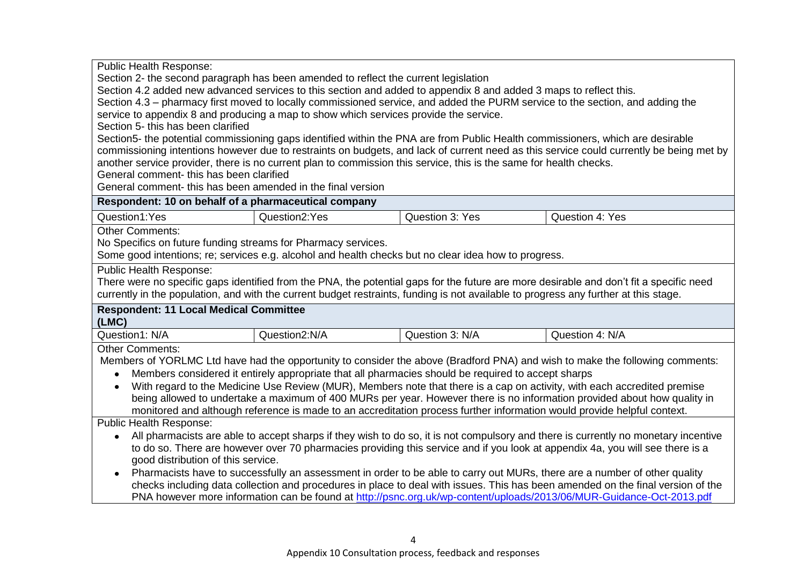Public Health Response: Section 2- the second paragraph has been amended to reflect the current legislation Section 4.2 added new advanced services to this section and added to appendix 8 and added 3 maps to reflect this. Section 4.3 – pharmacy first moved to locally commissioned service, and added the PURM service to the section, and adding the service to appendix 8 and producing a map to show which services provide the service. Section 5- this has been clarified Section5- the potential commissioning gaps identified within the PNA are from Public Health commissioners, which are desirable commissioning intentions however due to restraints on budgets, and lack of current need as this service could currently be being met by another service provider, there is no current plan to commission this service, this is the same for health checks. General comment- this has been clarified General comment- this has been amended in the final version **Respondent: 10 on behalf of a pharmaceutical company** Question1:Yes Question2:Yes Question 3: Yes Question 4: Yes Other Comments: No Specifics on future funding streams for Pharmacy services. Some good intentions; re; services e.g. alcohol and health checks but no clear idea how to progress. Public Health Response: There were no specific gaps identified from the PNA, the potential gaps for the future are more desirable and don't fit a specific need currently in the population, and with the current budget restraints, funding is not available to progress any further at this stage. **Respondent: 11 Local Medical Committee (LMC)** Question1: N/A  $\bigcup$  Question2:N/A  $\bigcup$  Question 3: N/A  $\bigcup$  Question 4: N/A Other Comments: Members of YORLMC Ltd have had the opportunity to consider the above (Bradford PNA) and wish to make the following comments: Members considered it entirely appropriate that all pharmacies should be required to accept sharps With regard to the Medicine Use Review (MUR), Members note that there is a cap on activity, with each accredited premise being allowed to undertake a maximum of 400 MURs per year. However there is no information provided about how quality in monitored and although reference is made to an accreditation process further information would provide helpful context. Public Health Response: All pharmacists are able to accept sharps if they wish to do so, it is not compulsory and there is currently no monetary incentive to do so. There are however over 70 pharmacies providing this service and if you look at appendix 4a, you will see there is a good distribution of this service. Pharmacists have to successfully an assessment in order to be able to carry out MURs, there are a number of other quality checks including data collection and procedures in place to deal with issues. This has been amended on the final version of the PNA however more information can be found at<http://psnc.org.uk/wp-content/uploads/2013/06/MUR-Guidance-Oct-2013.pdf>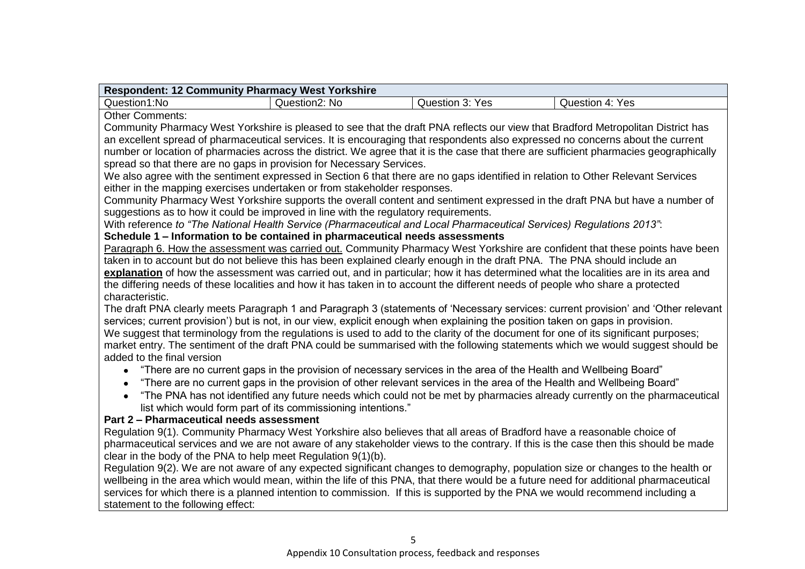| Respondent: 12 Community Pharmacy West Yorkshire |               |                 |                      |  |
|--------------------------------------------------|---------------|-----------------|----------------------|--|
| Question1:No                                     | Question2: No | Question 3: Yes | Yes<br>Question 4: Y |  |

Other Comments:

Community Pharmacy West Yorkshire is pleased to see that the draft PNA reflects our view that Bradford Metropolitan District has an excellent spread of pharmaceutical services. It is encouraging that respondents also expressed no concerns about the current number or location of pharmacies across the district. We agree that it is the case that there are sufficient pharmacies geographically spread so that there are no gaps in provision for Necessary Services.

We also agree with the sentiment expressed in Section 6 that there are no gaps identified in relation to Other Relevant Services either in the mapping exercises undertaken or from stakeholder responses.

Community Pharmacy West Yorkshire supports the overall content and sentiment expressed in the draft PNA but have a number of suggestions as to how it could be improved in line with the regulatory requirements.

With reference *to "The National Health Service (Pharmaceutical and Local Pharmaceutical Services) Regulations 2013"*:

## **Schedule 1 – Information to be contained in pharmaceutical needs assessments**

Paragraph 6. How the assessment was carried out. Community Pharmacy West Yorkshire are confident that these points have been taken in to account but do not believe this has been explained clearly enough in the draft PNA. The PNA should include an **explanation** of how the assessment was carried out, and in particular; how it has determined what the localities are in its area and the differing needs of these localities and how it has taken in to account the different needs of people who share a protected characteristic.

The draft PNA clearly meets Paragraph 1 and Paragraph 3 (statements of 'Necessary services: current provision' and 'Other relevant services; current provision') but is not, in our view, explicit enough when explaining the position taken on gaps in provision. We suggest that terminology from the regulations is used to add to the clarity of the document for one of its significant purposes; market entry. The sentiment of the draft PNA could be summarised with the following statements which we would suggest should be added to the final version

- "There are no current gaps in the provision of necessary services in the area of the Health and Wellbeing Board"
- "There are no current gaps in the provision of other relevant services in the area of the Health and Wellbeing Board"  $\bullet$
- "The PNA has not identified any future needs which could not be met by pharmacies already currently on the pharmaceutical list which would form part of its commissioning intentions."

## **Part 2 – Pharmaceutical needs assessment**

Regulation 9(1). Community Pharmacy West Yorkshire also believes that all areas of Bradford have a reasonable choice of pharmaceutical services and we are not aware of any stakeholder views to the contrary. If this is the case then this should be made clear in the body of the PNA to help meet Regulation 9(1)(b).

Regulation 9(2). We are not aware of any expected significant changes to demography, population size or changes to the health or wellbeing in the area which would mean, within the life of this PNA, that there would be a future need for additional pharmaceutical services for which there is a planned intention to commission. If this is supported by the PNA we would recommend including a statement to the following effect: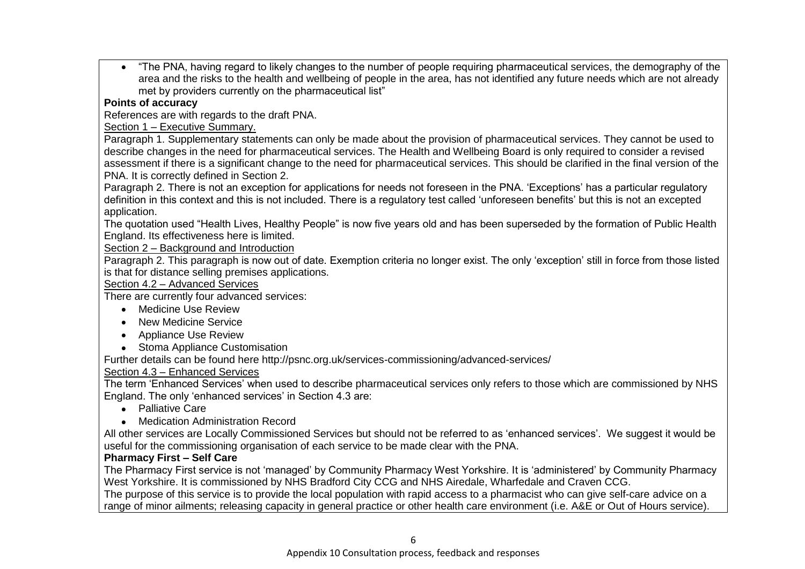"The PNA, having regard to likely changes to the number of people requiring pharmaceutical services, the demography of the area and the risks to the health and wellbeing of people in the area, has not identified any future needs which are not already met by providers currently on the pharmaceutical list"

# **Points of accuracy**

References are with regards to the draft PNA.

Section 1 – Executive Summary.

Paragraph 1. Supplementary statements can only be made about the provision of pharmaceutical services. They cannot be used to describe changes in the need for pharmaceutical services. The Health and Wellbeing Board is only required to consider a revised assessment if there is a significant change to the need for pharmaceutical services. This should be clarified in the final version of the PNA. It is correctly defined in Section 2.

Paragraph 2. There is not an exception for applications for needs not foreseen in the PNA. 'Exceptions' has a particular regulatory definition in this context and this is not included. There is a regulatory test called 'unforeseen benefits' but this is not an excepted application.

The quotation used "Health Lives, Healthy People" is now five years old and has been superseded by the formation of Public Health England. Its effectiveness here is limited.

## Section 2 – Background and Introduction

Paragraph 2. This paragraph is now out of date. Exemption criteria no longer exist. The only 'exception' still in force from those listed is that for distance selling premises applications.

#### Section 4.2 – Advanced Services

There are currently four advanced services:

- Medicine Use Review
- New Medicine Service
- Appliance Use Review
- Stoma Appliance Customisation

Further details can be found here http://psnc.org.uk/services-commissioning/advanced-services/

## Section 4.3 – Enhanced Services

The term 'Enhanced Services' when used to describe pharmaceutical services only refers to those which are commissioned by NHS England. The only 'enhanced services' in Section 4.3 are:

- Palliative Care
- Medication Administration Record

All other services are Locally Commissioned Services but should not be referred to as 'enhanced services'. We suggest it would be useful for the commissioning organisation of each service to be made clear with the PNA.

## **Pharmacy First – Self Care**

The Pharmacy First service is not 'managed' by Community Pharmacy West Yorkshire. It is 'administered' by Community Pharmacy West Yorkshire. It is commissioned by NHS Bradford City CCG and NHS Airedale, Wharfedale and Craven CCG.

The purpose of this service is to provide the local population with rapid access to a pharmacist who can give self-care advice on a range of minor ailments; releasing capacity in general practice or other health care environment (i.e. A&E or Out of Hours service).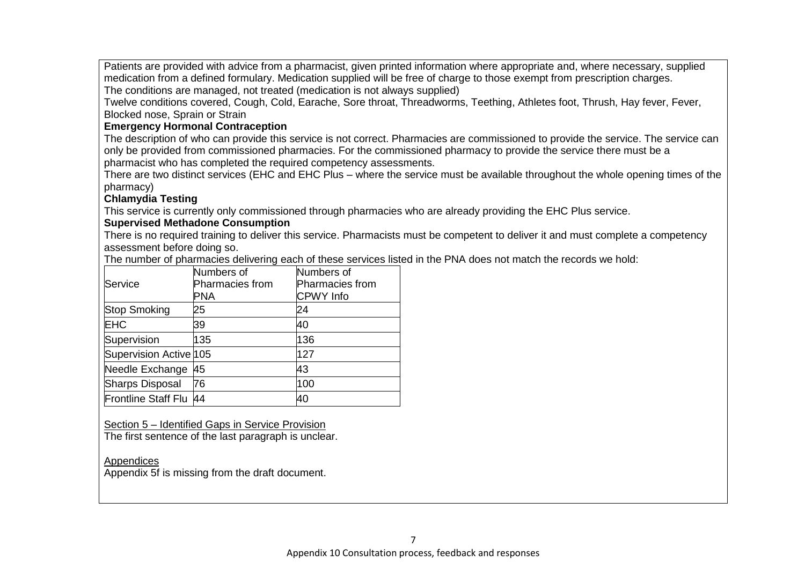Patients are provided with advice from a pharmacist, given printed information where appropriate and, where necessary, supplied medication from a defined formulary. Medication supplied will be free of charge to those exempt from prescription charges. The conditions are managed, not treated (medication is not always supplied)

Twelve conditions covered, Cough, Cold, Earache, Sore throat, Threadworms, Teething, Athletes foot, Thrush, Hay fever, Fever, Blocked nose, Sprain or Strain

### **Emergency Hormonal Contraception**

The description of who can provide this service is not correct. Pharmacies are commissioned to provide the service. The service can only be provided from commissioned pharmacies. For the commissioned pharmacy to provide the service there must be a pharmacist who has completed the required competency assessments.

There are two distinct services (EHC and EHC Plus – where the service must be available throughout the whole opening times of the pharmacy)

## **Chlamydia Testing**

This service is currently only commissioned through pharmacies who are already providing the EHC Plus service.

## **Supervised Methadone Consumption**

There is no required training to deliver this service. Pharmacists must be competent to deliver it and must complete a competency assessment before doing so.

The number of pharmacies delivering each of these services listed in the PNA does not match the records we hold:

|                            | Numbers of      | Numbers of             |
|----------------------------|-----------------|------------------------|
| Service                    | Pharmacies from | <b>Pharmacies from</b> |
|                            | PNA             | <b>CPWY</b> Info       |
| <b>Stop Smoking</b>        | 25              | 24                     |
| EHC                        | 39              | 40                     |
| Supervision                | 135             | 136                    |
| Supervision Active 105     |                 | 127                    |
| Needle Exchange            | 45              | 43                     |
| <b>Sharps Disposal</b>     | 76              | 100                    |
| <b>Frontline Staff Flu</b> | 44              | 40                     |

Section 5 – Identified Gaps in Service Provision

The first sentence of the last paragraph is unclear.

#### Appendices

Appendix 5f is missing from the draft document.